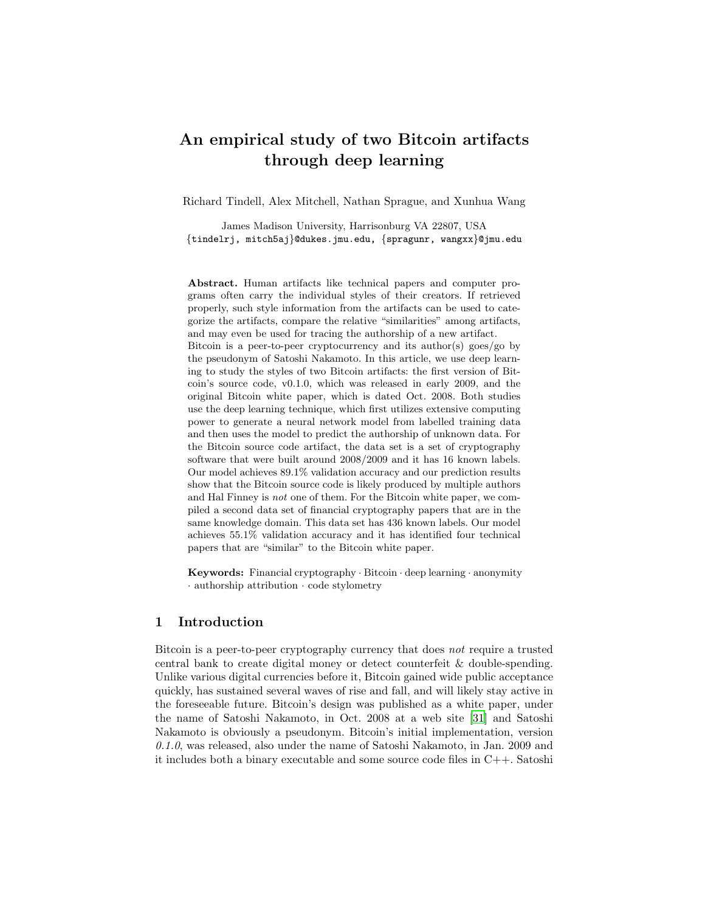# An empirical study of two Bitcoin artifacts through deep learning

Richard Tindell, Alex Mitchell, Nathan Sprague, and Xunhua Wang

James Madison University, Harrisonburg VA 22807, USA {tindelrj, mitch5aj}@dukes.jmu.edu, {spragunr, wangxx}@jmu.edu

Abstract. Human artifacts like technical papers and computer programs often carry the individual styles of their creators. If retrieved properly, such style information from the artifacts can be used to categorize the artifacts, compare the relative "similarities" among artifacts, and may even be used for tracing the authorship of a new artifact. Bitcoin is a peer-to-peer cryptocurrency and its author(s) goes/go by the pseudonym of Satoshi Nakamoto. In this article, we use deep learning to study the styles of two Bitcoin artifacts: the first version of Bitcoin's source code, v0.1.0, which was released in early 2009, and the original Bitcoin white paper, which is dated Oct. 2008. Both studies use the deep learning technique, which first utilizes extensive computing power to generate a neural network model from labelled training data and then uses the model to predict the authorship of unknown data. For the Bitcoin source code artifact, the data set is a set of cryptography software that were built around 2008/2009 and it has 16 known labels. Our model achieves 89.1% validation accuracy and our prediction results show that the Bitcoin source code is likely produced by multiple authors and Hal Finney is not one of them. For the Bitcoin white paper, we compiled a second data set of financial cryptography papers that are in the same knowledge domain. This data set has 436 known labels. Our model achieves 55.1% validation accuracy and it has identified four technical papers that are "similar" to the Bitcoin white paper.

Keywords: Financial cryptography · Bitcoin · deep learning · anonymity · authorship attribution · code stylometry

# <span id="page-0-0"></span>1 Introduction

Bitcoin is a peer-to-peer cryptography currency that does not require a trusted central bank to create digital money or detect counterfeit & double-spending. Unlike various digital currencies before it, Bitcoin gained wide public acceptance quickly, has sustained several waves of rise and fall, and will likely stay active in the foreseeable future. Bitcoin's design was published as a white paper, under the name of Satoshi Nakamoto, in Oct. 2008 at a web site [\[31\]](#page-17-0) and Satoshi Nakamoto is obviously a pseudonym. Bitcoin's initial implementation, version 0.1.0, was released, also under the name of Satoshi Nakamoto, in Jan. 2009 and it includes both a binary executable and some source code files in C++. Satoshi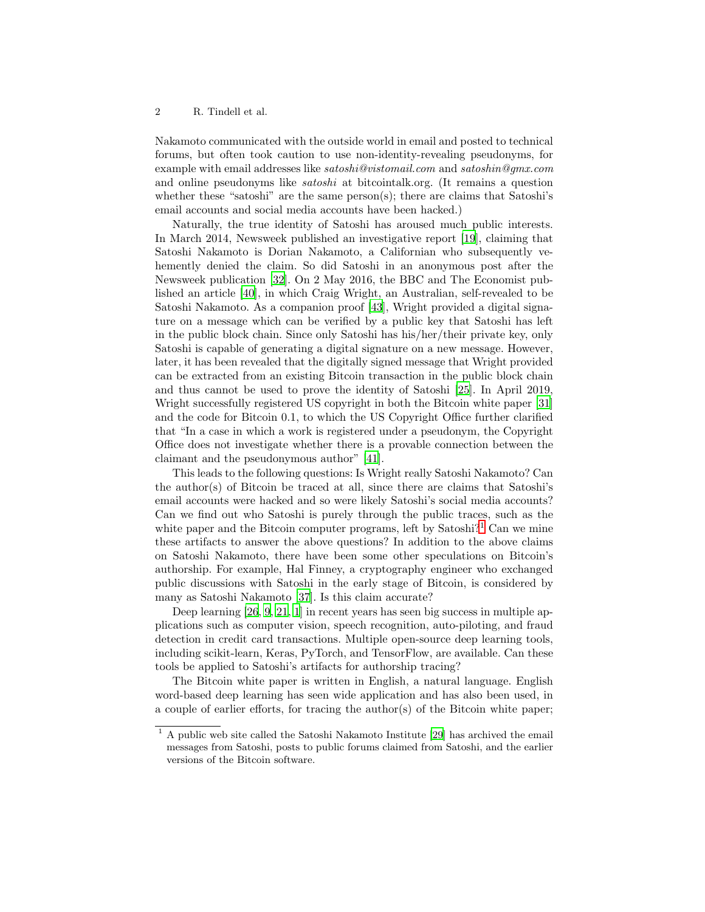Nakamoto communicated with the outside world in email and posted to technical forums, but often took caution to use non-identity-revealing pseudonyms, for example with email addresses like *satoshi@vistomail.com* and *satoshin@gmx.com* and online pseudonyms like satoshi at bitcointalk.org. (It remains a question whether these "satoshi" are the same person(s); there are claims that Satoshi's email accounts and social media accounts have been hacked.)

Naturally, the true identity of Satoshi has aroused much public interests. In March 2014, Newsweek published an investigative report [\[19](#page-17-1)], claiming that Satoshi Nakamoto is Dorian Nakamoto, a Californian who subsequently vehemently denied the claim. So did Satoshi in an anonymous post after the Newsweek publication [\[32](#page-18-0)]. On 2 May 2016, the BBC and The Economist published an article [\[40](#page-18-1)], in which Craig Wright, an Australian, self-revealed to be Satoshi Nakamoto. As a companion proof [\[43](#page-18-2)], Wright provided a digital signature on a message which can be verified by a public key that Satoshi has left in the public block chain. Since only Satoshi has his/her/their private key, only Satoshi is capable of generating a digital signature on a new message. However, later, it has been revealed that the digitally signed message that Wright provided can be extracted from an existing Bitcoin transaction in the public block chain and thus cannot be used to prove the identity of Satoshi [\[25\]](#page-17-2). In April 2019, Wright successfully registered US copyright in both the Bitcoin white paper [\[31\]](#page-17-0) and the code for Bitcoin 0.1, to which the US Copyright Office further clarified that "In a case in which a work is registered under a pseudonym, the Copyright Office does not investigate whether there is a provable connection between the claimant and the pseudonymous author" [\[41](#page-18-3)].

This leads to the following questions: Is Wright really Satoshi Nakamoto? Can the author(s) of Bitcoin be traced at all, since there are claims that Satoshi's email accounts were hacked and so were likely Satoshi's social media accounts? Can we find out who Satoshi is purely through the public traces, such as the white paper and the Bitcoin computer programs, left by Satoshi?<sup>[1](#page-1-0)</sup> Can we mine these artifacts to answer the above questions? In addition to the above claims on Satoshi Nakamoto, there have been some other speculations on Bitcoin's authorship. For example, Hal Finney, a cryptography engineer who exchanged public discussions with Satoshi in the early stage of Bitcoin, is considered by many as Satoshi Nakamoto [\[37](#page-18-4)]. Is this claim accurate?

Deep learning [\[26,](#page-17-3) [9,](#page-16-0) [21](#page-17-4), [1\]](#page-16-1) in recent years has seen big success in multiple applications such as computer vision, speech recognition, auto-piloting, and fraud detection in credit card transactions. Multiple open-source deep learning tools, including scikit-learn, Keras, PyTorch, and TensorFlow, are available. Can these tools be applied to Satoshi's artifacts for authorship tracing?

The Bitcoin white paper is written in English, a natural language. English word-based deep learning has seen wide application and has also been used, in a couple of earlier efforts, for tracing the author(s) of the Bitcoin white paper;

<span id="page-1-0"></span><sup>&</sup>lt;sup>1</sup> A public web site called the Satoshi Nakamoto Institute [\[29\]](#page-17-5) has archived the email messages from Satoshi, posts to public forums claimed from Satoshi, and the earlier versions of the Bitcoin software.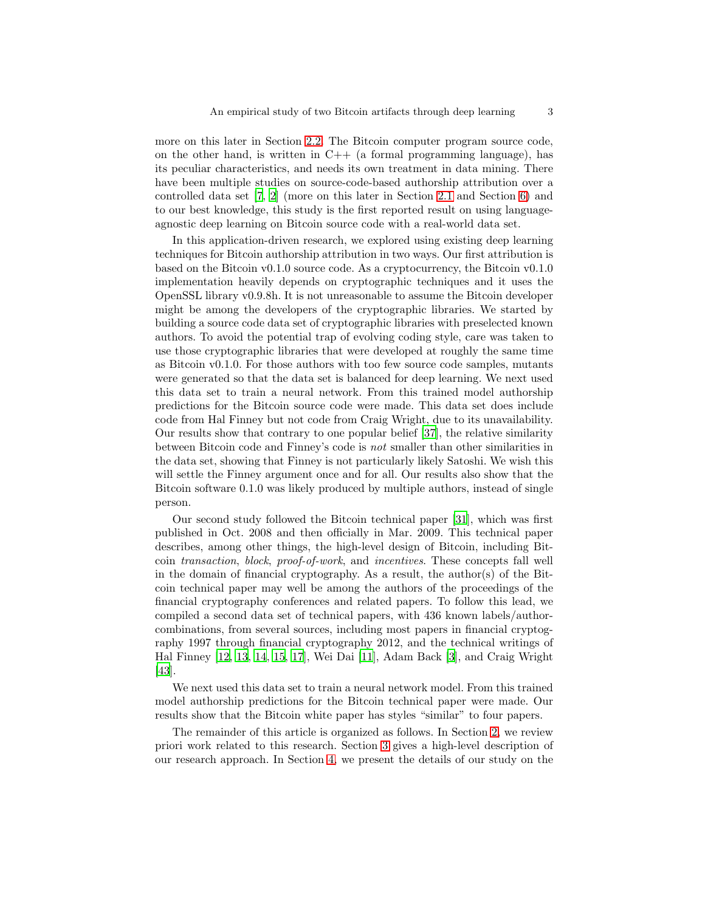more on this later in Section [2.2.](#page-4-0) The Bitcoin computer program source code, on the other hand, is written in  $C++$  (a formal programming language), has its peculiar characteristics, and needs its own treatment in data mining. There have been multiple studies on source-code-based authorship attribution over a controlled data set [\[7](#page-16-2), [2\]](#page-16-3) (more on this later in Section [2.1](#page-3-0) and Section [6\)](#page-14-0) and to our best knowledge, this study is the first reported result on using languageagnostic deep learning on Bitcoin source code with a real-world data set.

In this application-driven research, we explored using existing deep learning techniques for Bitcoin authorship attribution in two ways. Our first attribution is based on the Bitcoin v0.1.0 source code. As a cryptocurrency, the Bitcoin v0.1.0 implementation heavily depends on cryptographic techniques and it uses the OpenSSL library v0.9.8h. It is not unreasonable to assume the Bitcoin developer might be among the developers of the cryptographic libraries. We started by building a source code data set of cryptographic libraries with preselected known authors. To avoid the potential trap of evolving coding style, care was taken to use those cryptographic libraries that were developed at roughly the same time as Bitcoin v0.1.0. For those authors with too few source code samples, mutants were generated so that the data set is balanced for deep learning. We next used this data set to train a neural network. From this trained model authorship predictions for the Bitcoin source code were made. This data set does include code from Hal Finney but not code from Craig Wright, due to its unavailability. Our results show that contrary to one popular belief [\[37](#page-18-4)], the relative similarity between Bitcoin code and Finney's code is not smaller than other similarities in the data set, showing that Finney is not particularly likely Satoshi. We wish this will settle the Finney argument once and for all. Our results also show that the Bitcoin software 0.1.0 was likely produced by multiple authors, instead of single person.

Our second study followed the Bitcoin technical paper [\[31\]](#page-17-0), which was first published in Oct. 2008 and then officially in Mar. 2009. This technical paper describes, among other things, the high-level design of Bitcoin, including Bitcoin transaction, block, proof-of-work, and incentives. These concepts fall well in the domain of financial cryptography. As a result, the author(s) of the Bitcoin technical paper may well be among the authors of the proceedings of the financial cryptography conferences and related papers. To follow this lead, we compiled a second data set of technical papers, with 436 known labels/authorcombinations, from several sources, including most papers in financial cryptography 1997 through financial cryptography 2012, and the technical writings of Hal Finney [\[12](#page-16-4), [13](#page-16-5), [14,](#page-17-6) [15,](#page-17-7) [17\]](#page-17-8), Wei Dai [\[11\]](#page-16-6), Adam Back [\[3\]](#page-16-7), and Craig Wright [\[43](#page-18-2)].

We next used this data set to train a neural network model. From this trained model authorship predictions for the Bitcoin technical paper were made. Our results show that the Bitcoin white paper has styles "similar" to four papers.

The remainder of this article is organized as follows. In Section [2,](#page-3-1) we review priori work related to this research. Section [3](#page-4-1) gives a high-level description of our research approach. In Section [4,](#page-6-0) we present the details of our study on the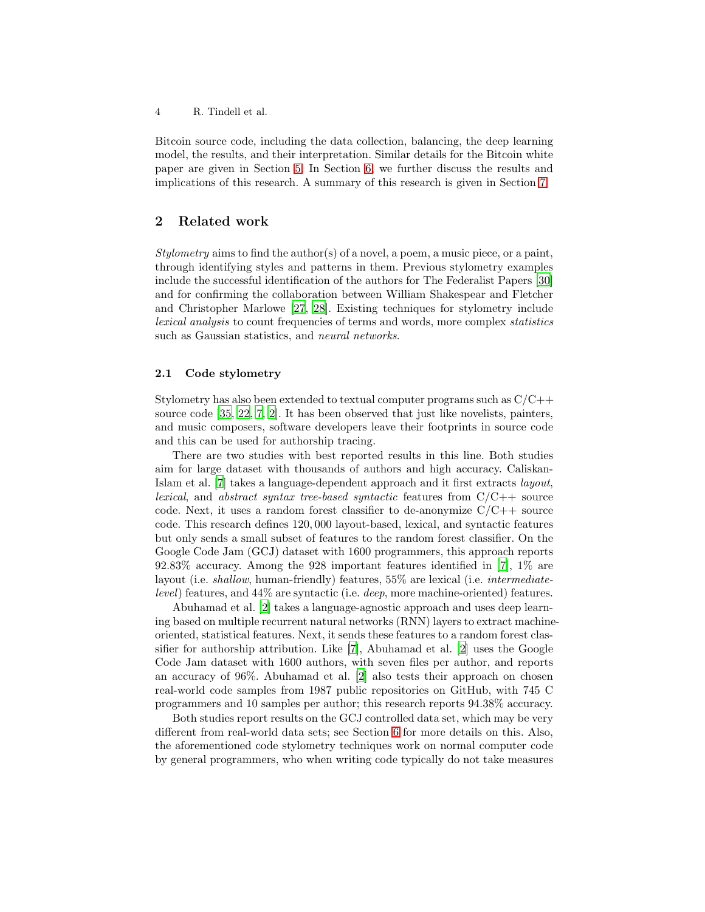Bitcoin source code, including the data collection, balancing, the deep learning model, the results, and their interpretation. Similar details for the Bitcoin white paper are given in Section [5.](#page-11-0) In Section [6,](#page-14-0) we further discuss the results and implications of this research. A summary of this research is given in Section [7.](#page-15-0)

# <span id="page-3-1"></span>2 Related work

Stylometry aims to find the author(s) of a novel, a poem, a music piece, or a paint, through identifying styles and patterns in them. Previous stylometry examples include the successful identification of the authors for The Federalist Papers [\[30\]](#page-17-9) and for confirming the collaboration between William Shakespear and Fletcher and Christopher Marlowe [\[27](#page-17-10), [28](#page-17-11)]. Existing techniques for stylometry include lexical analysis to count frequencies of terms and words, more complex statistics such as Gaussian statistics, and neural networks.

# <span id="page-3-0"></span>2.1 Code stylometry

Stylometry has also been extended to textual computer programs such as  $C/C++$ source code [\[35,](#page-18-5) [22,](#page-17-12) [7,](#page-16-2) [2\]](#page-16-3). It has been observed that just like novelists, painters, and music composers, software developers leave their footprints in source code and this can be used for authorship tracing.

There are two studies with best reported results in this line. Both studies aim for large dataset with thousands of authors and high accuracy. Caliskan-Islam et al. [\[7\]](#page-16-2) takes a language-dependent approach and it first extracts layout, lexical, and abstract syntax tree-based syntactic features from  $C/C++$  source code. Next, it uses a random forest classifier to de-anonymize  $C/C++$  source code. This research defines 120, 000 layout-based, lexical, and syntactic features but only sends a small subset of features to the random forest classifier. On the Google Code Jam (GCJ) dataset with 1600 programmers, this approach reports 92.83% accuracy. Among the 928 important features identified in [\[7\]](#page-16-2), 1% are layout (i.e. shallow, human-friendly) features, 55% are lexical (i.e. intermediatelevel) features, and 44% are syntactic (i.e. deep, more machine-oriented) features.

Abuhamad et al. [\[2\]](#page-16-3) takes a language-agnostic approach and uses deep learning based on multiple recurrent natural networks (RNN) layers to extract machineoriented, statistical features. Next, it sends these features to a random forest classifier for authorship attribution. Like [\[7](#page-16-2)], Abuhamad et al. [\[2\]](#page-16-3) uses the Google Code Jam dataset with 1600 authors, with seven files per author, and reports an accuracy of 96%. Abuhamad et al. [\[2](#page-16-3)] also tests their approach on chosen real-world code samples from 1987 public repositories on GitHub, with 745 C programmers and 10 samples per author; this research reports 94.38% accuracy.

Both studies report results on the GCJ controlled data set, which may be very different from real-world data sets; see Section [6](#page-14-0) for more details on this. Also, the aforementioned code stylometry techniques work on normal computer code by general programmers, who when writing code typically do not take measures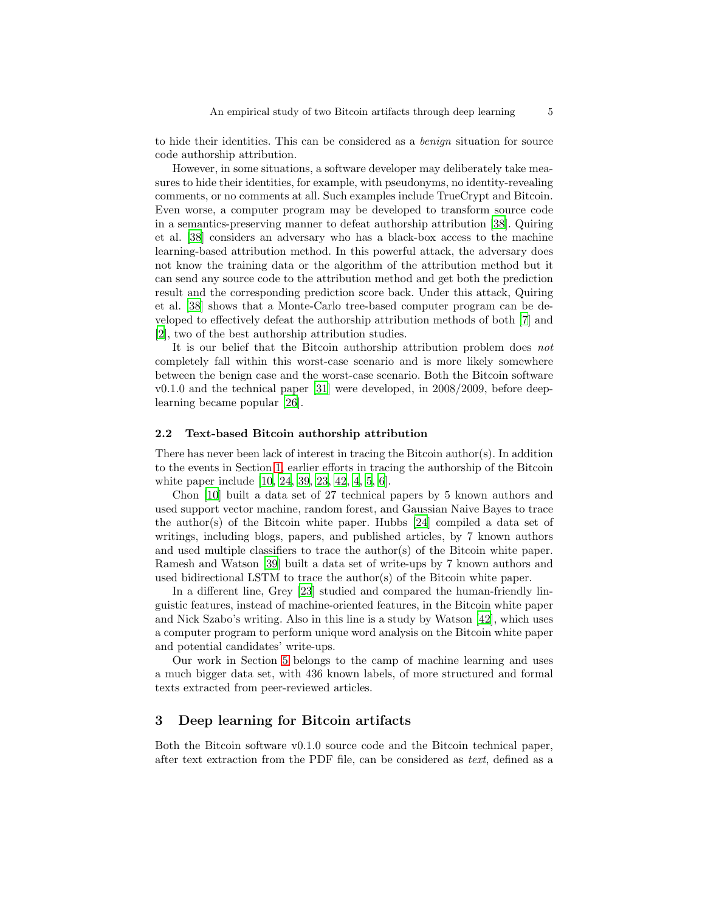to hide their identities. This can be considered as a benign situation for source code authorship attribution.

However, in some situations, a software developer may deliberately take measures to hide their identities, for example, with pseudonyms, no identity-revealing comments, or no comments at all. Such examples include TrueCrypt and Bitcoin. Even worse, a computer program may be developed to transform source code in a semantics-preserving manner to defeat authorship attribution [\[38\]](#page-18-6). Quiring et al. [\[38\]](#page-18-6) considers an adversary who has a black-box access to the machine learning-based attribution method. In this powerful attack, the adversary does not know the training data or the algorithm of the attribution method but it can send any source code to the attribution method and get both the prediction result and the corresponding prediction score back. Under this attack, Quiring et al. [\[38](#page-18-6)] shows that a Monte-Carlo tree-based computer program can be developed to effectively defeat the authorship attribution methods of both [\[7\]](#page-16-2) and [\[2\]](#page-16-3), two of the best authorship attribution studies.

It is our belief that the Bitcoin authorship attribution problem does not completely fall within this worst-case scenario and is more likely somewhere between the benign case and the worst-case scenario. Both the Bitcoin software v0.1.0 and the technical paper [\[31\]](#page-17-0) were developed, in 2008/2009, before deeplearning became popular [\[26](#page-17-3)].

#### <span id="page-4-0"></span>2.2 Text-based Bitcoin authorship attribution

There has never been lack of interest in tracing the Bitcoin author(s). In addition to the events in Section [1,](#page-0-0) earlier efforts in tracing the authorship of the Bitcoin white paper include [\[10,](#page-16-8) [24,](#page-17-13) [39](#page-18-7), [23](#page-17-14), [42](#page-18-8), [4](#page-16-9), [5](#page-16-10), [6](#page-16-11)].

Chon [\[10\]](#page-16-8) built a data set of 27 technical papers by 5 known authors and used support vector machine, random forest, and Gaussian Naive Bayes to trace the author(s) of the Bitcoin white paper. Hubbs  $[24]$  compiled a data set of writings, including blogs, papers, and published articles, by 7 known authors and used multiple classifiers to trace the author(s) of the Bitcoin white paper. Ramesh and Watson [\[39](#page-18-7)] built a data set of write-ups by 7 known authors and used bidirectional LSTM to trace the author(s) of the Bitcoin white paper.

In a different line, Grey [\[23](#page-17-14)] studied and compared the human-friendly linguistic features, instead of machine-oriented features, in the Bitcoin white paper and Nick Szabo's writing. Also in this line is a study by Watson [\[42](#page-18-8)], which uses a computer program to perform unique word analysis on the Bitcoin white paper and potential candidates' write-ups.

Our work in Section [5](#page-11-0) belongs to the camp of machine learning and uses a much bigger data set, with 436 known labels, of more structured and formal texts extracted from peer-reviewed articles.

# <span id="page-4-1"></span>3 Deep learning for Bitcoin artifacts

Both the Bitcoin software v0.1.0 source code and the Bitcoin technical paper, after text extraction from the PDF file, can be considered as text, defined as a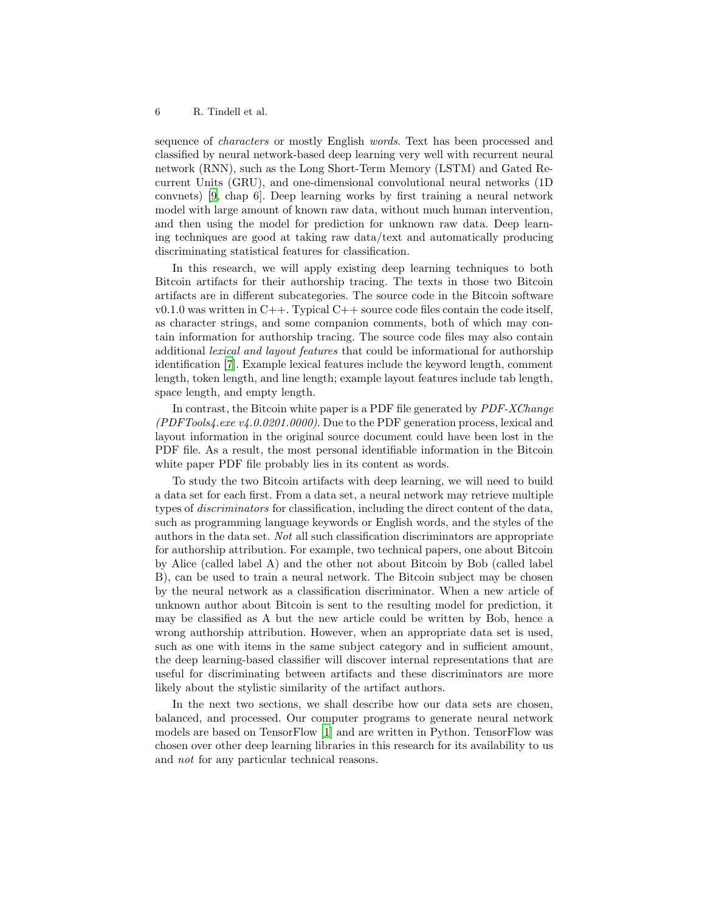sequence of *characters* or mostly English *words*. Text has been processed and classified by neural network-based deep learning very well with recurrent neural network (RNN), such as the Long Short-Term Memory (LSTM) and Gated Recurrent Units (GRU), and one-dimensional convolutional neural networks (1D convnets) [\[9](#page-16-0), chap 6]. Deep learning works by first training a neural network model with large amount of known raw data, without much human intervention, and then using the model for prediction for unknown raw data. Deep learning techniques are good at taking raw data/text and automatically producing discriminating statistical features for classification.

In this research, we will apply existing deep learning techniques to both Bitcoin artifacts for their authorship tracing. The texts in those two Bitcoin artifacts are in different subcategories. The source code in the Bitcoin software  $v0.1.0$  was written in C++. Typical C++ source code files contain the code itself, as character strings, and some companion comments, both of which may contain information for authorship tracing. The source code files may also contain additional lexical and layout features that could be informational for authorship identification [\[7](#page-16-2)]. Example lexical features include the keyword length, comment length, token length, and line length; example layout features include tab length, space length, and empty length.

In contrast, the Bitcoin white paper is a PDF file generated by *PDF-XChange* (PDFTools4.exe v4.0.0201.0000). Due to the PDF generation process, lexical and layout information in the original source document could have been lost in the PDF file. As a result, the most personal identifiable information in the Bitcoin white paper PDF file probably lies in its content as words.

To study the two Bitcoin artifacts with deep learning, we will need to build a data set for each first. From a data set, a neural network may retrieve multiple types of discriminators for classification, including the direct content of the data, such as programming language keywords or English words, and the styles of the authors in the data set. Not all such classification discriminators are appropriate for authorship attribution. For example, two technical papers, one about Bitcoin by Alice (called label A) and the other not about Bitcoin by Bob (called label B), can be used to train a neural network. The Bitcoin subject may be chosen by the neural network as a classification discriminator. When a new article of unknown author about Bitcoin is sent to the resulting model for prediction, it may be classified as A but the new article could be written by Bob, hence a wrong authorship attribution. However, when an appropriate data set is used, such as one with items in the same subject category and in sufficient amount, the deep learning-based classifier will discover internal representations that are useful for discriminating between artifacts and these discriminators are more likely about the stylistic similarity of the artifact authors.

In the next two sections, we shall describe how our data sets are chosen, balanced, and processed. Our computer programs to generate neural network models are based on TensorFlow [\[1](#page-16-1)] and are written in Python. TensorFlow was chosen over other deep learning libraries in this research for its availability to us and not for any particular technical reasons.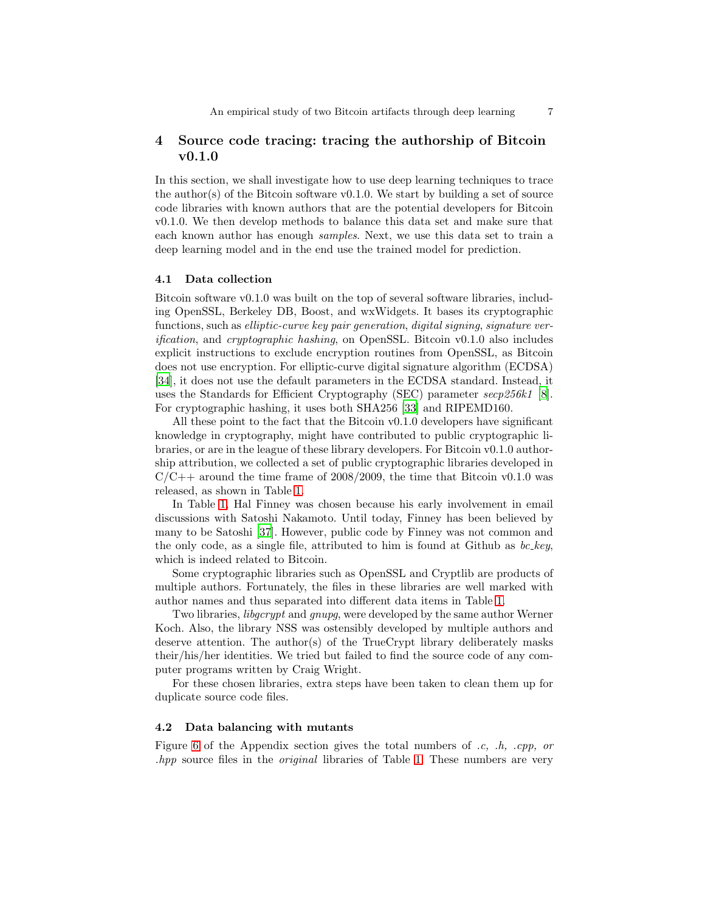# <span id="page-6-0"></span>4 Source code tracing: tracing the authorship of Bitcoin v0.1.0

In this section, we shall investigate how to use deep learning techniques to trace the author(s) of the Bitcoin software v0.1.0. We start by building a set of source code libraries with known authors that are the potential developers for Bitcoin v0.1.0. We then develop methods to balance this data set and make sure that each known author has enough samples. Next, we use this data set to train a deep learning model and in the end use the trained model for prediction.

### 4.1 Data collection

Bitcoin software v0.1.0 was built on the top of several software libraries, including OpenSSL, Berkeley DB, Boost, and wxWidgets. It bases its cryptographic functions, such as elliptic-curve key pair generation, digital signing, signature verification, and cryptographic hashing, on OpenSSL. Bitcoin v0.1.0 also includes explicit instructions to exclude encryption routines from OpenSSL, as Bitcoin does not use encryption. For elliptic-curve digital signature algorithm (ECDSA) [\[34](#page-18-9)], it does not use the default parameters in the ECDSA standard. Instead, it uses the Standards for Efficient Cryptography (SEC) parameter  $\sec 256k1$  [\[8](#page-16-12)]. For cryptographic hashing, it uses both SHA256 [\[33\]](#page-18-10) and RIPEMD160.

All these point to the fact that the Bitcoin v0.1.0 developers have significant knowledge in cryptography, might have contributed to public cryptographic libraries, or are in the league of these library developers. For Bitcoin v0.1.0 authorship attribution, we collected a set of public cryptographic libraries developed in  $C/C++$  around the time frame of 2008/2009, the time that Bitcoin v0.1.0 was released, as shown in Table [1.](#page-7-0)

In Table [1,](#page-7-0) Hal Finney was chosen because his early involvement in email discussions with Satoshi Nakamoto. Until today, Finney has been believed by many to be Satoshi [\[37](#page-18-4)]. However, public code by Finney was not common and the only code, as a single file, attributed to him is found at Github as  $bc\_key$ , which is indeed related to Bitcoin.

Some cryptographic libraries such as OpenSSL and Cryptlib are products of multiple authors. Fortunately, the files in these libraries are well marked with author names and thus separated into different data items in Table [1.](#page-7-0)

Two libraries, libgcrypt and gnupg, were developed by the same author Werner Koch. Also, the library NSS was ostensibly developed by multiple authors and deserve attention. The author(s) of the TrueCrypt library deliberately masks their/his/her identities. We tried but failed to find the source code of any computer programs written by Craig Wright.

For these chosen libraries, extra steps have been taken to clean them up for duplicate source code files.

### <span id="page-6-1"></span>4.2 Data balancing with mutants

Figure [6](#page-19-0) of the Appendix section gives the total numbers of .c, .h, .cpp, or .hpp source files in the original libraries of Table [1.](#page-7-0) These numbers are very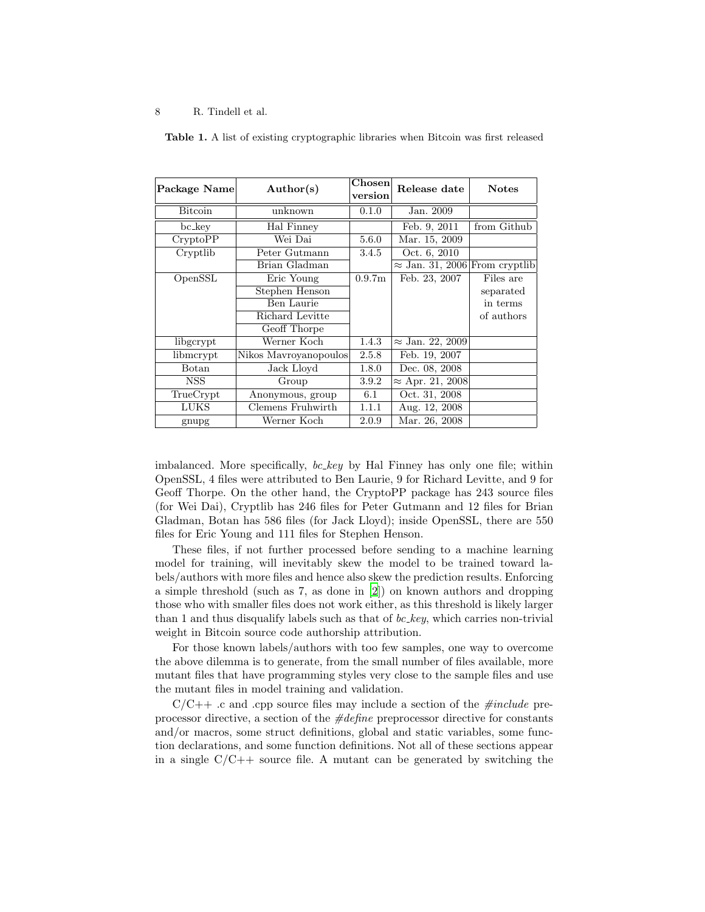| Package Name | Author(s)             | Chosen<br>version  | Release date                          | <b>Notes</b> |
|--------------|-----------------------|--------------------|---------------------------------------|--------------|
| Bitcoin      | unknown               | 0.1.0              | Jan. 2009                             |              |
| $bc_{\rm}$   | Hal Finney            |                    | Feb. 9, 2011                          | from Github  |
| CryptoPP     | Wei Dai               | 5.6.0              | Mar. 15, 2009                         |              |
| Cryptlib     | Peter Gutmann         | 3.4.5              | Oct. 6, 2010                          |              |
|              | Brian Gladman         |                    | $\approx$ Jan. 31, 2006 From cryptlib |              |
| OpenSSL      | Eric Young            | 0.9.7 <sub>m</sub> | Feb. 23, 2007                         | Files are    |
|              | Stephen Henson        |                    |                                       | separated    |
|              | Ben Laurie            |                    |                                       | in terms     |
|              | Richard Levitte       |                    |                                       | of authors   |
|              | Geoff Thorpe          |                    |                                       |              |
| libgcrypt    | Werner Koch           | 1.4.3              | $\approx$ Jan. 22, 2009               |              |
| libmcrypt    | Nikos Mavroyanopoulos | 2.5.8              | Feb. 19, 2007                         |              |
| Botan        | Jack Lloyd            | 1.8.0              | Dec. 08, 2008                         |              |
| <b>NSS</b>   | Group                 | 3.9.2              | $\approx$ Apr. 21, 2008               |              |
| TrueCrypt    | Anonymous, group      | 6.1                | Oct. 31, 2008                         |              |
| <b>LUKS</b>  | Clemens Fruhwirth     | 1.1.1              | Aug. 12, 2008                         |              |
| gnupg        | Werner Koch           | 2.0.9              | Mar. 26, 2008                         |              |

<span id="page-7-0"></span>Table 1. A list of existing cryptographic libraries when Bitcoin was first released

imbalanced. More specifically, bc key by Hal Finney has only one file; within OpenSSL, 4 files were attributed to Ben Laurie, 9 for Richard Levitte, and 9 for Geoff Thorpe. On the other hand, the CryptoPP package has 243 source files (for Wei Dai), Cryptlib has 246 files for Peter Gutmann and 12 files for Brian Gladman, Botan has 586 files (for Jack Lloyd); inside OpenSSL, there are 550 files for Eric Young and 111 files for Stephen Henson.

These files, if not further processed before sending to a machine learning model for training, will inevitably skew the model to be trained toward labels/authors with more files and hence also skew the prediction results. Enforcing a simple threshold (such as 7, as done in [\[2](#page-16-3)]) on known authors and dropping those who with smaller files does not work either, as this threshold is likely larger than 1 and thus disqualify labels such as that of  $bc \; key$ , which carries non-trivial weight in Bitcoin source code authorship attribution.

For those known labels/authors with too few samples, one way to overcome the above dilemma is to generate, from the small number of files available, more mutant files that have programming styles very close to the sample files and use the mutant files in model training and validation.

 $C/C++$  .c and .cpp source files may include a section of the  $\#include$  preprocessor directive, a section of the  $\#define$  preprocessor directive for constants and/or macros, some struct definitions, global and static variables, some function declarations, and some function definitions. Not all of these sections appear in a single  $C/C++$  source file. A mutant can be generated by switching the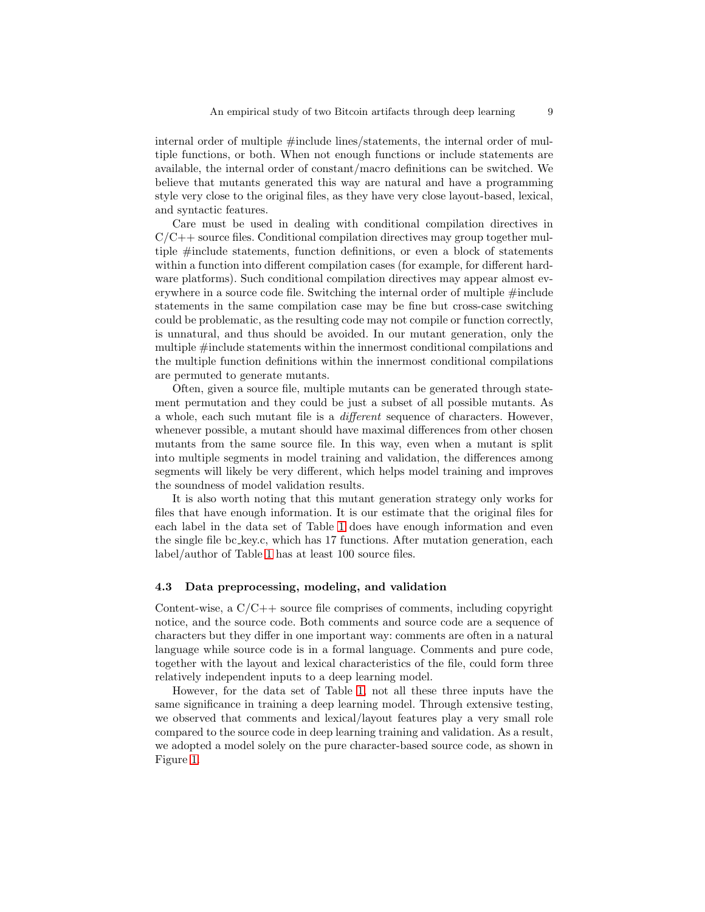internal order of multiple #include lines/statements, the internal order of multiple functions, or both. When not enough functions or include statements are available, the internal order of constant/macro definitions can be switched. We believe that mutants generated this way are natural and have a programming style very close to the original files, as they have very close layout-based, lexical, and syntactic features.

Care must be used in dealing with conditional compilation directives in  $C/C++$  source files. Conditional compilation directives may group together multiple #include statements, function definitions, or even a block of statements within a function into different compilation cases (for example, for different hardware platforms). Such conditional compilation directives may appear almost everywhere in a source code file. Switching the internal order of multiple #include statements in the same compilation case may be fine but cross-case switching could be problematic, as the resulting code may not compile or function correctly, is unnatural, and thus should be avoided. In our mutant generation, only the multiple #include statements within the innermost conditional compilations and the multiple function definitions within the innermost conditional compilations are permuted to generate mutants.

Often, given a source file, multiple mutants can be generated through statement permutation and they could be just a subset of all possible mutants. As a whole, each such mutant file is a different sequence of characters. However, whenever possible, a mutant should have maximal differences from other chosen mutants from the same source file. In this way, even when a mutant is split into multiple segments in model training and validation, the differences among segments will likely be very different, which helps model training and improves the soundness of model validation results.

It is also worth noting that this mutant generation strategy only works for files that have enough information. It is our estimate that the original files for each label in the data set of Table [1](#page-7-0) does have enough information and even the single file bc key.c, which has 17 functions. After mutation generation, each label/author of Table [1](#page-7-0) has at least 100 source files.

#### <span id="page-8-0"></span>4.3 Data preprocessing, modeling, and validation

Content-wise, a  $C/C++$  source file comprises of comments, including copyright notice, and the source code. Both comments and source code are a sequence of characters but they differ in one important way: comments are often in a natural language while source code is in a formal language. Comments and pure code, together with the layout and lexical characteristics of the file, could form three relatively independent inputs to a deep learning model.

However, for the data set of Table [1,](#page-7-0) not all these three inputs have the same significance in training a deep learning model. Through extensive testing, we observed that comments and lexical/layout features play a very small role compared to the source code in deep learning training and validation. As a result, we adopted a model solely on the pure character-based source code, as shown in Figure [1.](#page-9-0)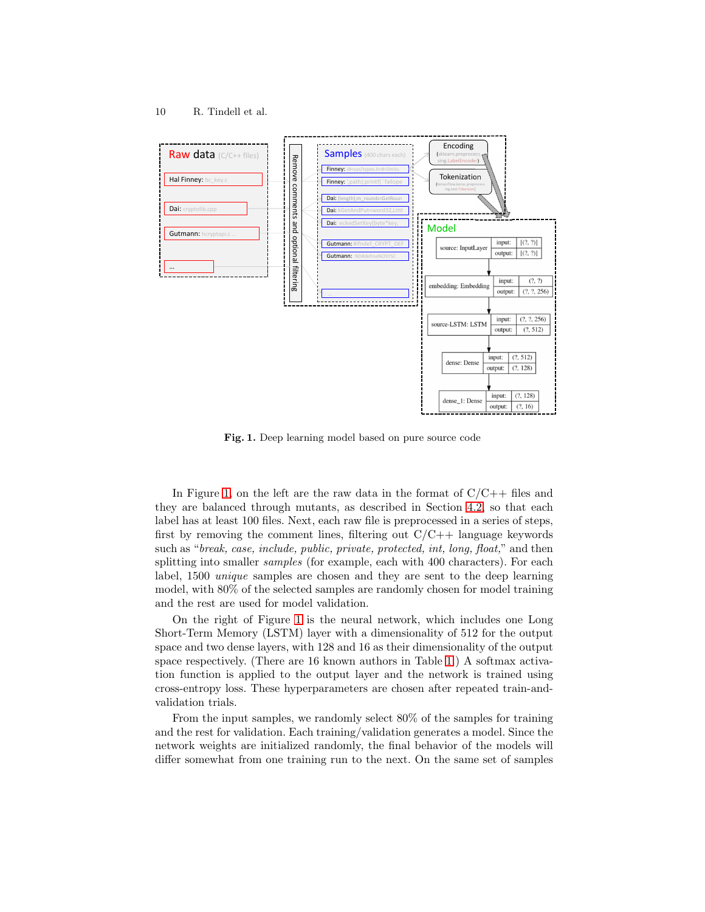

<span id="page-9-0"></span>Fig. 1. Deep learning model based on pure source code

In Figure [1,](#page-9-0) on the left are the raw data in the format of  $C/C++$  files and they are balanced through mutants, as described in Section [4.2,](#page-6-1) so that each label has at least 100 files. Next, each raw file is preprocessed in a series of steps, first by removing the comment lines, filtering out  $C/C++$  language keywords such as "break, case, include, public, private, protected, int, long, float," and then splitting into smaller *samples* (for example, each with 400 characters). For each label, 1500 unique samples are chosen and they are sent to the deep learning model, with 80% of the selected samples are randomly chosen for model training and the rest are used for model validation.

On the right of Figure [1](#page-9-0) is the neural network, which includes one Long Short-Term Memory (LSTM) layer with a dimensionality of 512 for the output space and two dense layers, with 128 and 16 as their dimensionality of the output space respectively. (There are 16 known authors in Table [1.](#page-7-0)) A softmax activation function is applied to the output layer and the network is trained using cross-entropy loss. These hyperparameters are chosen after repeated train-andvalidation trials.

From the input samples, we randomly select 80% of the samples for training and the rest for validation. Each training/validation generates a model. Since the network weights are initialized randomly, the final behavior of the models will differ somewhat from one training run to the next. On the same set of samples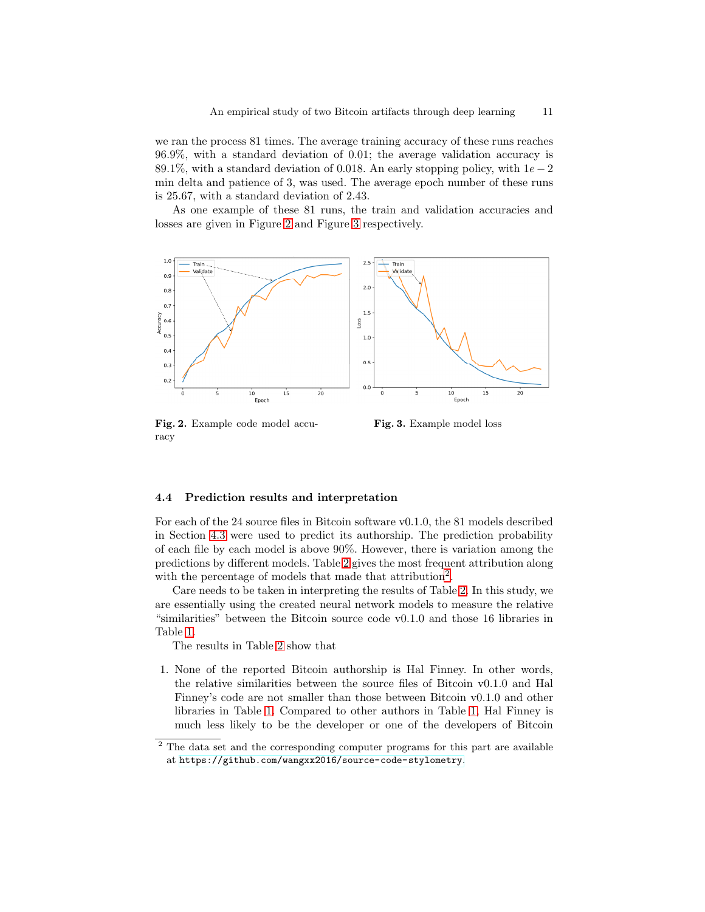we ran the process 81 times. The average training accuracy of these runs reaches 96.9%, with a standard deviation of 0.01; the average validation accuracy is 89.1%, with a standard deviation of 0.018. An early stopping policy, with  $1e-2$ min delta and patience of 3, was used. The average epoch number of these runs is 25.67, with a standard deviation of 2.43.

As one example of these 81 runs, the train and validation accuracies and losses are given in Figure [2](#page-10-0) and Figure [3](#page-10-1) respectively.



<span id="page-10-1"></span><span id="page-10-0"></span>Fig. 2. Example code model accuracy Fig. 3. Example model loss

#### <span id="page-10-3"></span>4.4 Prediction results and interpretation

For each of the 24 source files in Bitcoin software v0.1.0, the 81 models described in Section [4.3](#page-8-0) were used to predict its authorship. The prediction probability of each file by each model is above 90%. However, there is variation among the predictions by different models. Table [2](#page-11-1) gives the most frequent attribution along with the percentage of models that made that attribution<sup>[2](#page-10-2)</sup>.

Care needs to be taken in interpreting the results of Table [2.](#page-11-1) In this study, we are essentially using the created neural network models to measure the relative "similarities" between the Bitcoin source code v0.1.0 and those 16 libraries in Table [1.](#page-7-0)

The results in Table [2](#page-11-1) show that

1. None of the reported Bitcoin authorship is Hal Finney. In other words, the relative similarities between the source files of Bitcoin v0.1.0 and Hal Finney's code are not smaller than those between Bitcoin v0.1.0 and other libraries in Table [1.](#page-7-0) Compared to other authors in Table [1,](#page-7-0) Hal Finney is much less likely to be the developer or one of the developers of Bitcoin

<span id="page-10-2"></span><sup>&</sup>lt;sup>2</sup> The data set and the corresponding computer programs for this part are available at <https://github.com/wangxx2016/source-code-stylometry>.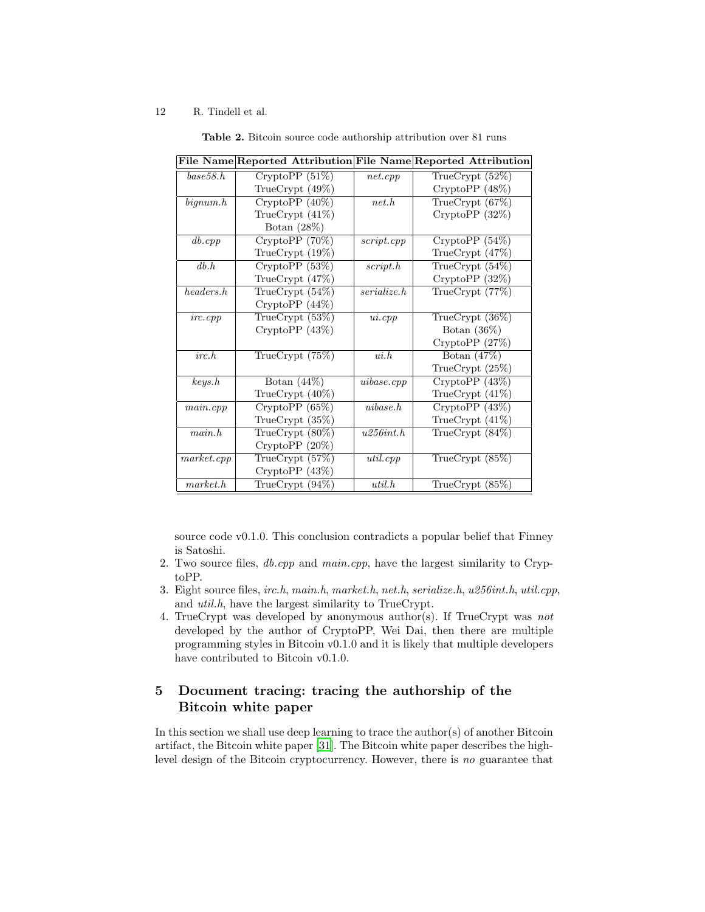<span id="page-11-1"></span>Table 2. Bitcoin source code authorship attribution over 81 runs

|             | r ne ranne reported Attribution r ne ranne reported Attribution |                     |                      |
|-------------|-----------------------------------------------------------------|---------------------|----------------------|
| base58.h    | CryptoPP(51%)                                                   | net.cpp             | TrueCrypt (52%)      |
|             | TrueCrypt $(49\%)$                                              |                     | CryptoPP (48%)       |
| biquum.h    | $\overline{\text{CryptoPP}}$ (40%)                              | net.h               | TrueCrypt $(67%)$    |
|             | TrueCrypt $(41\%)$                                              |                     | CryptoPP (32%)       |
|             | Botan $(28%)$                                                   |                     |                      |
| db.cpp      | CryptoPP(70%)                                                   | $script\varepsilon$ | CryptoPP (54%)       |
|             | TrueCrypt $(19\%)$                                              |                     | TrueCrypt (47%)      |
| db.h        | CryptoPP(53%)                                                   | script.h            | TrueCrypt (54%)      |
|             | $True$ Crypt $(47%)$                                            |                     | CryptoPP $(32\%)$    |
| headers.h   | TrueCrypt (54%)                                                 | serialize.h         | TrueCrypt (77%)      |
|             | CryptoPP $(44\%)$                                               |                     |                      |
| $irc.\,cpp$ | TrueCrypt $(53\%)$                                              | $u$ <i>i.cpp</i>    | TrueCrypt $(36\%)$   |
|             | CryptoPP $(43%)$                                                |                     | Botan $(36\%)$       |
|             |                                                                 |                     | CryptoPP(27%)        |
| irc.h       | TrueCrypt (75%)                                                 | $u$ <i>i.h</i>      | Botan $(47%)$        |
|             |                                                                 |                     | TrueCrypt (25%)      |
| keys.h      | Botan $(44\%)$                                                  | $uibase.cpp$        | CryptoPP(43%)        |
|             | TrueCrypt (40%)                                                 |                     | TrueCrypt $(41\%)$   |
| main.cpp    | CryptoPP(65%)                                                   | $uibase.h$          | CryptoPP $(43%)$     |
|             | TrueCrypt (35%)                                                 |                     | TrueCrypt (41%)      |
| main.h      | TrueCrypt $(80\%)$                                              | u256int.h           | TrueCrypt $(84\%)$   |
|             | CryptoPP (20%)                                                  |                     |                      |
| market.cpp  | $True$ Crypt $(57%)$                                            | $util$ .cpp         | $True$ Crypt $(85%)$ |
|             | CryptoPP (43%)                                                  |                     |                      |
| market.h    | TrueCrypt (94%)                                                 | util.h              | TrueCrypt $(85\%)$   |
|             |                                                                 |                     |                      |

File Name Reported Attribution File Name Reported Attribution

source code v0.1.0. This conclusion contradicts a popular belief that Finney is Satoshi.

- 2. Two source files, db.cpp and main.cpp, have the largest similarity to CryptoPP.
- 3. Eight source files, irc.h, main.h, market.h, net.h, serialize.h, u256int.h, util.cpp, and util.h, have the largest similarity to TrueCrypt.
- 4. TrueCrypt was developed by anonymous author(s). If TrueCrypt was not developed by the author of CryptoPP, Wei Dai, then there are multiple programming styles in Bitcoin v0.1.0 and it is likely that multiple developers have contributed to Bitcoin v0.1.0.

# <span id="page-11-0"></span>5 Document tracing: tracing the authorship of the Bitcoin white paper

In this section we shall use deep learning to trace the author(s) of another Bitcoin artifact, the Bitcoin white paper [\[31](#page-17-0)]. The Bitcoin white paper describes the highlevel design of the Bitcoin cryptocurrency. However, there is no guarantee that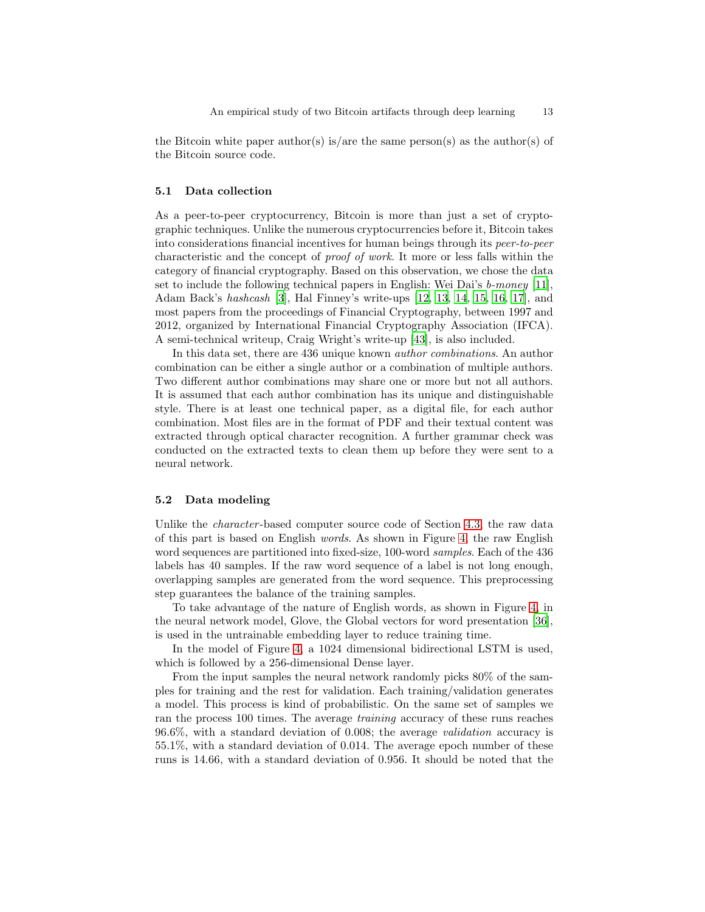the Bitcoin white paper author(s) is/are the same person(s) as the author(s) of the Bitcoin source code.

#### 5.1 Data collection

As a peer-to-peer cryptocurrency, Bitcoin is more than just a set of cryptographic techniques. Unlike the numerous cryptocurrencies before it, Bitcoin takes into considerations financial incentives for human beings through its peer-to-peer characteristic and the concept of proof of work. It more or less falls within the category of financial cryptography. Based on this observation, we chose the data set to include the following technical papers in English: Wei Dai's b-money [\[11](#page-16-6)], Adam Back's hashcash [\[3\]](#page-16-7), Hal Finney's write-ups [\[12,](#page-16-4) [13](#page-16-5), [14,](#page-17-6) [15](#page-17-7), [16,](#page-17-15) [17](#page-17-8)], and most papers from the proceedings of Financial Cryptography, between 1997 and 2012, organized by International Financial Cryptography Association (IFCA). A semi-technical writeup, Craig Wright's write-up [\[43](#page-18-2)], is also included.

In this data set, there are 436 unique known author combinations. An author combination can be either a single author or a combination of multiple authors. Two different author combinations may share one or more but not all authors. It is assumed that each author combination has its unique and distinguishable style. There is at least one technical paper, as a digital file, for each author combination. Most files are in the format of PDF and their textual content was extracted through optical character recognition. A further grammar check was conducted on the extracted texts to clean them up before they were sent to a neural network.

### <span id="page-12-0"></span>5.2 Data modeling

Unlike the *character*-based computer source code of Section [4.3,](#page-8-0) the raw data of this part is based on English words. As shown in Figure [4,](#page-13-0) the raw English word sequences are partitioned into fixed-size, 100-word samples. Each of the 436 labels has 40 samples. If the raw word sequence of a label is not long enough, overlapping samples are generated from the word sequence. This preprocessing step guarantees the balance of the training samples.

To take advantage of the nature of English words, as shown in Figure [4,](#page-13-0) in the neural network model, Glove, the Global vectors for word presentation [\[36](#page-18-11)], is used in the untrainable embedding layer to reduce training time.

In the model of Figure [4,](#page-13-0) a 1024 dimensional bidirectional LSTM is used, which is followed by a 256-dimensional Dense layer.

From the input samples the neural network randomly picks 80% of the samples for training and the rest for validation. Each training/validation generates a model. This process is kind of probabilistic. On the same set of samples we ran the process 100 times. The average training accuracy of these runs reaches 96.6%, with a standard deviation of 0.008; the average validation accuracy is 55.1%, with a standard deviation of 0.014. The average epoch number of these runs is 14.66, with a standard deviation of 0.956. It should be noted that the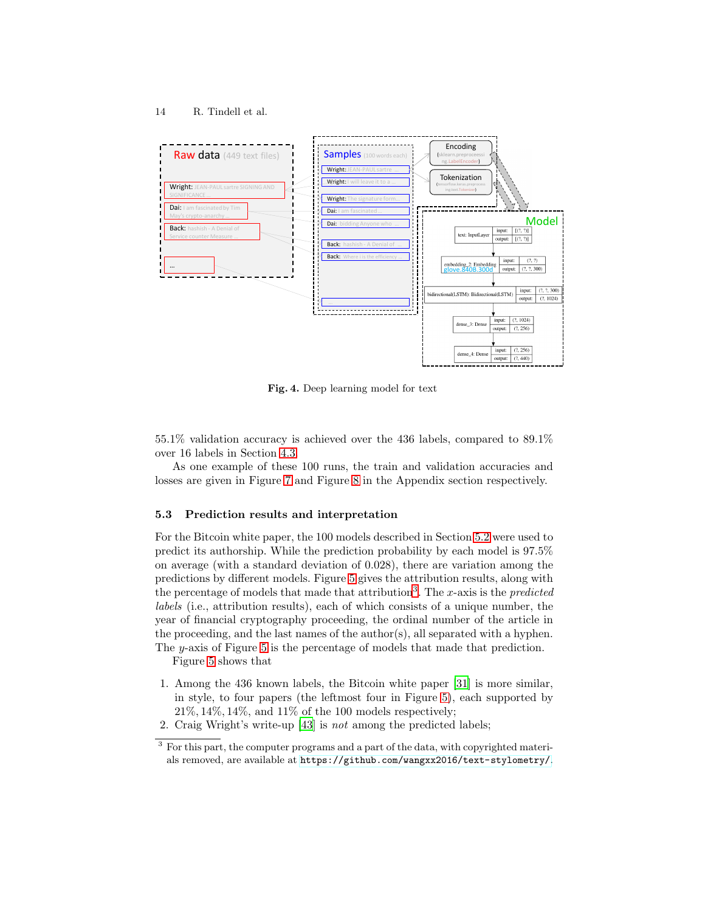

<span id="page-13-0"></span>Fig. 4. Deep learning model for text

55.1% validation accuracy is achieved over the 436 labels, compared to 89.1% over 16 labels in Section [4.3.](#page-8-0)

As one example of these 100 runs, the train and validation accuracies and losses are given in Figure [7](#page-19-1) and Figure [8](#page-19-2) in the Appendix section respectively.

# <span id="page-13-2"></span>5.3 Prediction results and interpretation

For the Bitcoin white paper, the 100 models described in Section [5.2](#page-12-0) were used to predict its authorship. While the prediction probability by each model is 97.5% on average (with a standard deviation of 0.028), there are variation among the predictions by different models. Figure [5](#page-14-1) gives the attribution results, along with the percentage of models that made that  $\alpha$  attribution<sup>[3](#page-13-1)</sup>. The x-axis is the predicted labels (i.e., attribution results), each of which consists of a unique number, the year of financial cryptography proceeding, the ordinal number of the article in the proceeding, and the last names of the author(s), all separated with a hyphen. The  $y$ -axis of Figure [5](#page-14-1) is the percentage of models that made that prediction.

Figure [5](#page-14-1) shows that

- 1. Among the 436 known labels, the Bitcoin white paper [\[31](#page-17-0)] is more similar, in style, to four papers (the leftmost four in Figure [5\)](#page-14-1), each supported by 21%, 14%, 14%, and 11% of the 100 models respectively;
- 2. Craig Wright's write-up [\[43\]](#page-18-2) is not among the predicted labels;

<span id="page-13-1"></span><sup>&</sup>lt;sup>3</sup> For this part, the computer programs and a part of the data, with copyrighted materials removed, are available at <https://github.com/wangxx2016/text-stylometry/>.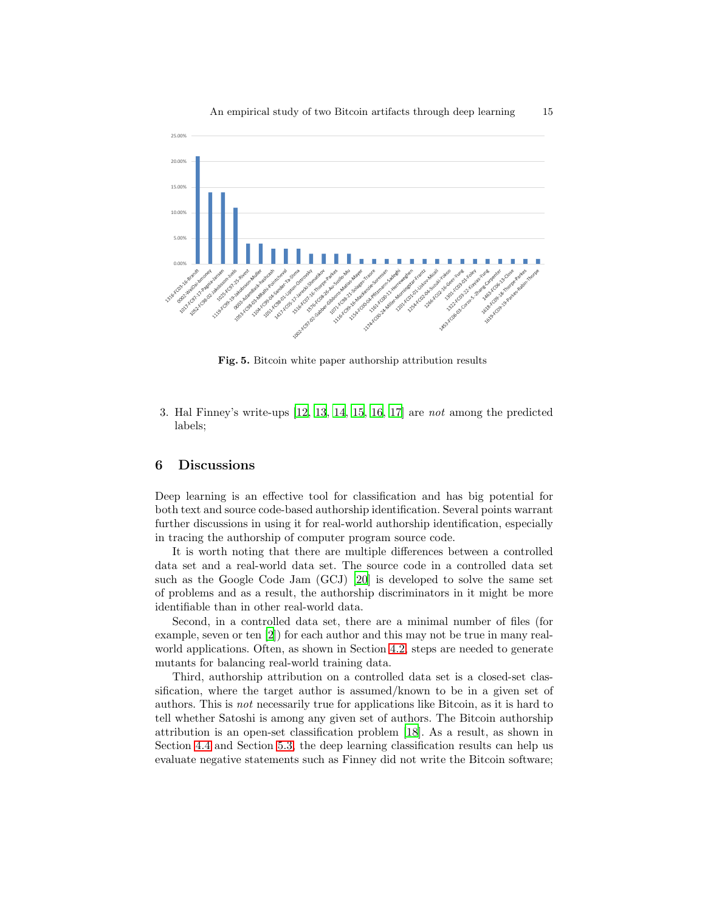

<span id="page-14-1"></span>Fig. 5. Bitcoin white paper authorship attribution results

3. Hal Finney's write-ups [\[12](#page-16-4), [13,](#page-16-5) [14](#page-17-6), [15](#page-17-7), [16,](#page-17-15) [17\]](#page-17-8) are not among the predicted labels;

# <span id="page-14-0"></span>6 Discussions

Deep learning is an effective tool for classification and has big potential for both text and source code-based authorship identification. Several points warrant further discussions in using it for real-world authorship identification, especially in tracing the authorship of computer program source code.

It is worth noting that there are multiple differences between a controlled data set and a real-world data set. The source code in a controlled data set such as the Google Code Jam (GCJ) [\[20](#page-17-16)] is developed to solve the same set of problems and as a result, the authorship discriminators in it might be more identifiable than in other real-world data.

Second, in a controlled data set, there are a minimal number of files (for example, seven or ten [\[2\]](#page-16-3)) for each author and this may not be true in many realworld applications. Often, as shown in Section [4.2,](#page-6-1) steps are needed to generate mutants for balancing real-world training data.

Third, authorship attribution on a controlled data set is a closed-set classification, where the target author is assumed/known to be in a given set of authors. This is not necessarily true for applications like Bitcoin, as it is hard to tell whether Satoshi is among any given set of authors. The Bitcoin authorship attribution is an open-set classification problem [\[18](#page-17-17)]. As a result, as shown in Section [4.4](#page-10-3) and Section [5.3,](#page-13-2) the deep learning classification results can help us evaluate negative statements such as Finney did not write the Bitcoin software;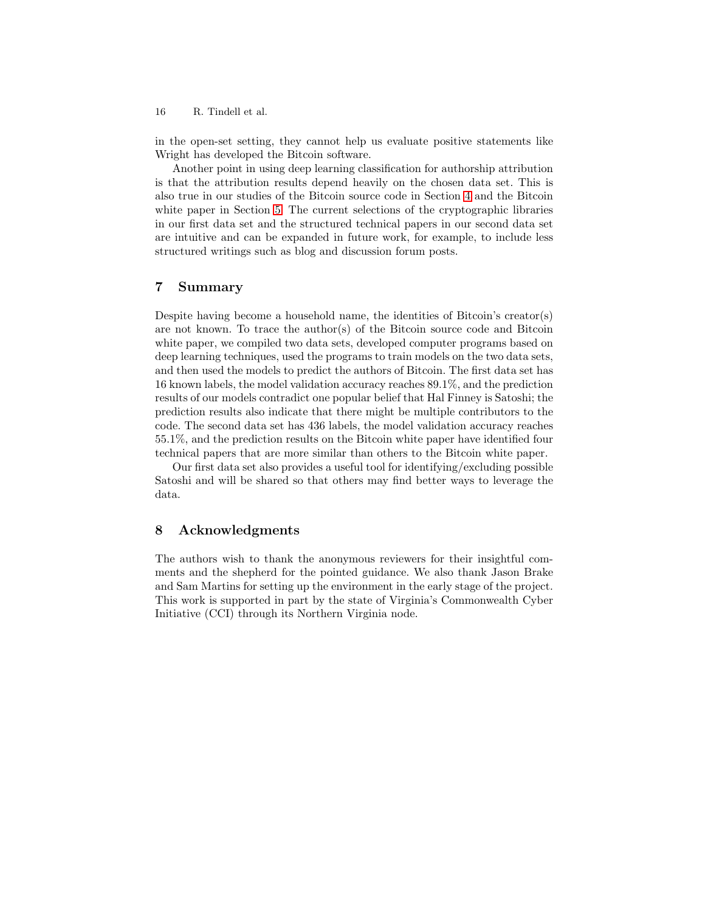in the open-set setting, they cannot help us evaluate positive statements like Wright has developed the Bitcoin software.

Another point in using deep learning classification for authorship attribution is that the attribution results depend heavily on the chosen data set. This is also true in our studies of the Bitcoin source code in Section [4](#page-6-0) and the Bitcoin white paper in Section [5.](#page-11-0) The current selections of the cryptographic libraries in our first data set and the structured technical papers in our second data set are intuitive and can be expanded in future work, for example, to include less structured writings such as blog and discussion forum posts.

# <span id="page-15-0"></span>7 Summary

Despite having become a household name, the identities of Bitcoin's creator(s) are not known. To trace the author(s) of the Bitcoin source code and Bitcoin white paper, we compiled two data sets, developed computer programs based on deep learning techniques, used the programs to train models on the two data sets, and then used the models to predict the authors of Bitcoin. The first data set has 16 known labels, the model validation accuracy reaches 89.1%, and the prediction results of our models contradict one popular belief that Hal Finney is Satoshi; the prediction results also indicate that there might be multiple contributors to the code. The second data set has 436 labels, the model validation accuracy reaches 55.1%, and the prediction results on the Bitcoin white paper have identified four technical papers that are more similar than others to the Bitcoin white paper.

Our first data set also provides a useful tool for identifying/excluding possible Satoshi and will be shared so that others may find better ways to leverage the data.

# 8 Acknowledgments

The authors wish to thank the anonymous reviewers for their insightful comments and the shepherd for the pointed guidance. We also thank Jason Brake and Sam Martins for setting up the environment in the early stage of the project. This work is supported in part by the state of Virginia's Commonwealth Cyber Initiative (CCI) through its Northern Virginia node.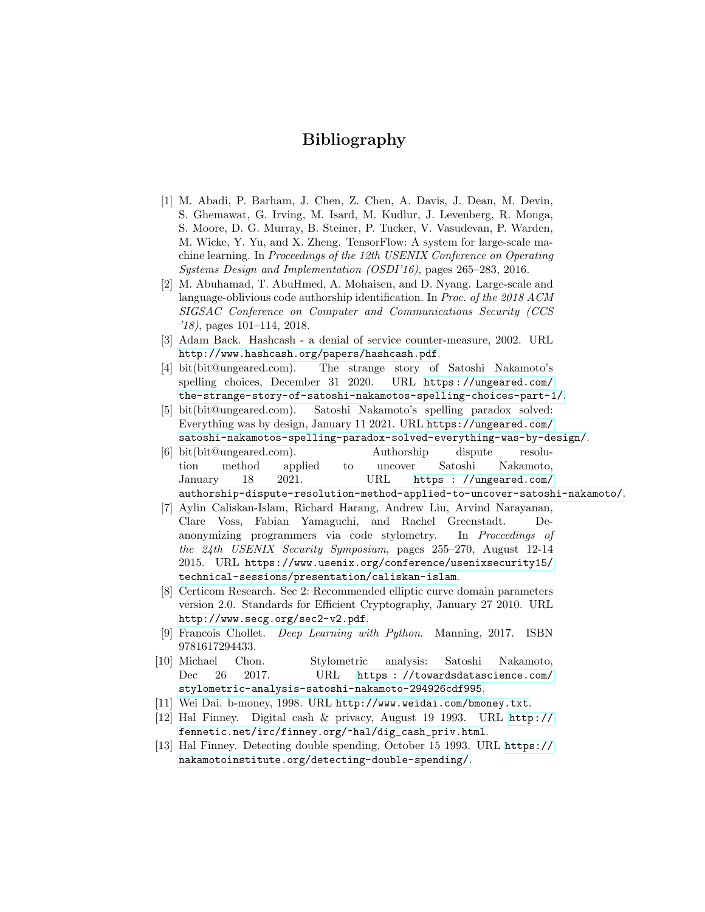# Bibliography

- <span id="page-16-1"></span>[1] M. Abadi, P. Barham, J. Chen, Z. Chen, A. Davis, J. Dean, M. Devin, S. Ghemawat, G. Irving, M. Isard, M. Kudlur, J. Levenberg, R. Monga, S. Moore, D. G. Murray, B. Steiner, P. Tucker, V. Vasudevan, P. Warden, M. Wicke, Y. Yu, and X. Zheng. TensorFlow: A system for large-scale machine learning. In Proceedings of the 12th USENIX Conference on Operating Systems Design and Implementation (OSDI'16), pages 265–283, 2016.
- <span id="page-16-3"></span>[2] M. Abuhamad, T. AbuHmed, A. Mohaisen, and D. Nyang. Large-scale and language-oblivious code authorship identification. In Proc. of the 2018 ACM SIGSAC Conference on Computer and Communications Security (CCS '18), pages 101–114, 2018.
- <span id="page-16-7"></span>[3] Adam Back. Hashcash - a denial of service counter-measure, 2002. URL <http://www.hashcash.org/papers/hashcash.pdf>.
- <span id="page-16-9"></span>[4] bit(bit@ungeared.com). The strange story of Satoshi Nakamoto's spelling choices, December 31 2020. URL https://ungeared.com/ [the-strange-story-of-satoshi-nakamotos-spelling-choices-part-1/](https://ungeared.com/the-strange-story-of-satoshi-nakamotos-spelling-choices-part-1/).
- <span id="page-16-10"></span>[5] bit(bit@ungeared.com). Satoshi Nakamoto's spelling paradox solved: Everything was by design, January 11 2021. URL [https://ungeared.com/](https://ungeared.com/satoshi-nakamotos-spelling-paradox-solved-everything-was-by-design/) [satoshi-nakamotos-spelling-paradox-solved-everything-was-by-design/](https://ungeared.com/satoshi-nakamotos-spelling-paradox-solved-everything-was-by-design/).
- <span id="page-16-11"></span>[6] bit(bit@ungeared.com). Authorship dispute resolution method applied to uncover Satoshi Nakamoto, January 18 2021. URL [https : //ungeared.com/](https://ungeared.com/authorship-dispute-resolution-method-applied-to-uncover-satoshi-nakamoto/) [authorship-dispute-resolution-method-applied-to-uncover-satoshi-nakamoto/](https://ungeared.com/authorship-dispute-resolution-method-applied-to-uncover-satoshi-nakamoto/).
- <span id="page-16-2"></span>[7] Aylin Caliskan-Islam, Richard Harang, Andrew Liu, Arvind Narayanan, Clare Voss, Fabian Yamaguchi, and Rachel Greenstadt. Deanonymizing programmers via code stylometry. In Proceedings of the 24th USENIX Security Symposium, pages 255–270, August 12-14 2015. URL [https://www.usenix.org/conference/usenixsecurity15/](https://www.usenix.org/conference/usenixsecurity15/technical-sessions/presentation/caliskan-islam) [technical-sessions/presentation/caliskan-islam](https://www.usenix.org/conference/usenixsecurity15/technical-sessions/presentation/caliskan-islam).
- <span id="page-16-12"></span>[8] Certicom Research. Sec 2: Recommended elliptic curve domain parameters version 2.0. Standards for Efficient Cryptography, January 27 2010. URL <http://www.secg.org/sec2-v2.pdf>.
- <span id="page-16-0"></span>[9] Francois Chollet. Deep Learning with Python. Manning, 2017. ISBN 9781617294433.
- <span id="page-16-8"></span>[10] Michael Chon. Stylometric analysis: Satoshi Nakamoto, Dec 26 2017. URL [https : //towardsdatascience.com/](https://towardsdatascience.com/stylometric-analysis-satoshi-nakamoto-294926cdf995) [stylometric-analysis-satoshi-nakamoto-294926cdf995](https://towardsdatascience.com/stylometric-analysis-satoshi-nakamoto-294926cdf995).
- <span id="page-16-6"></span>[11] Wei Dai. b-money, 1998. URL <http://www.weidai.com/bmoney.txt>.
- <span id="page-16-4"></span>[12] Hal Finney. Digital cash & privacy, August 19 1993. URL [http://](http://fennetic.net/irc/finney.org/~hal/dig_cash_priv.html) [fennetic.net/irc/finney.org/~hal/dig\\_cash\\_priv.html](http://fennetic.net/irc/finney.org/~hal/dig_cash_priv.html).
- <span id="page-16-5"></span>[13] Hal Finney. Detecting double spending, October 15 1993. URL [https://](https://nakamotoinstitute.org/detecting-double-spending/) [nakamotoinstitute.org/detecting-double-spending/](https://nakamotoinstitute.org/detecting-double-spending/).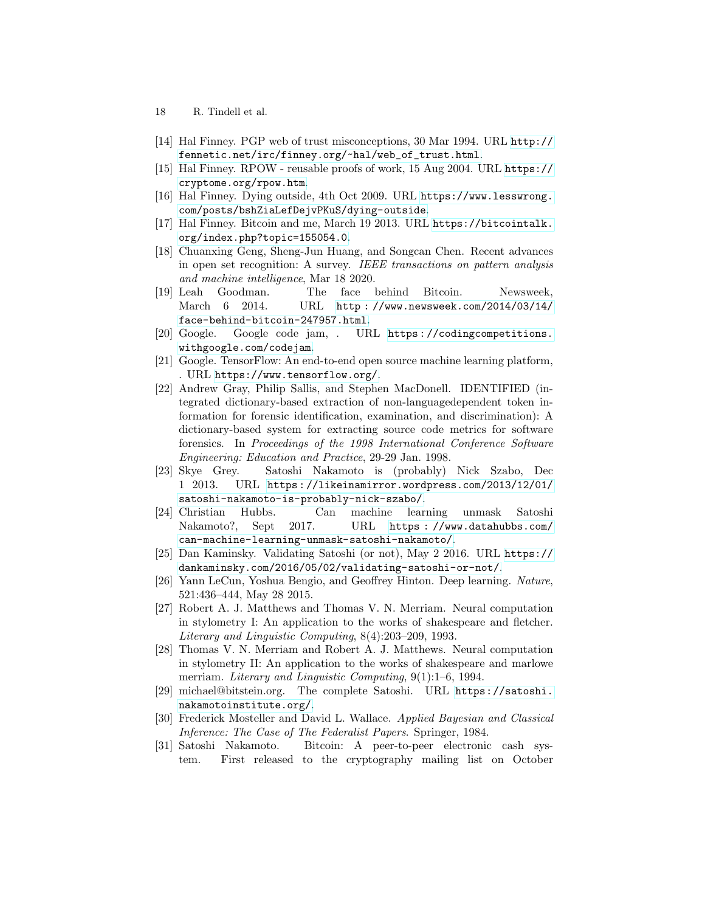- 18 R. Tindell et al.
- <span id="page-17-6"></span>[14] Hal Finney. PGP web of trust misconceptions, 30 Mar 1994. URL [http://](http://fennetic.net/irc/finney.org/~hal/web_of_trust.html) [fennetic.net/irc/finney.org/~hal/web\\_of\\_trust.html](http://fennetic.net/irc/finney.org/~hal/web_of_trust.html).
- <span id="page-17-7"></span>[15] Hal Finney. RPOW - reusable proofs of work, 15 Aug 2004. URL [https://](https://cryptome.org/rpow.htm) [cryptome.org/rpow.htm](https://cryptome.org/rpow.htm).
- <span id="page-17-15"></span>[16] Hal Finney. Dying outside, 4th Oct 2009. URL [https://www.lesswrong.](https://www.lesswrong.com/posts/bshZiaLefDejvPKuS/dying-outside) [com/posts/bshZiaLefDejvPKuS/dying-outside](https://www.lesswrong.com/posts/bshZiaLefDejvPKuS/dying-outside).
- <span id="page-17-8"></span>[17] Hal Finney. Bitcoin and me, March 19 2013. URL [https://bitcointalk.](https://bitcointalk.org/index.php?topic=155054.0) [org/index.php?topic=155054.0](https://bitcointalk.org/index.php?topic=155054.0).
- <span id="page-17-17"></span>[18] Chuanxing Geng, Sheng-Jun Huang, and Songcan Chen. Recent advances in open set recognition: A survey. IEEE transactions on pattern analysis and machine intelligence, Mar 18 2020.
- <span id="page-17-1"></span>[19] Leah Goodman. The face behind Bitcoin. Newsweek, March 6 2014. URL [http : //www.newsweek.com/2014/03/14/](http://www.newsweek.com/2014/03/14/face-behind-bitcoin-247957.html) [face-behind-bitcoin-247957.html](http://www.newsweek.com/2014/03/14/face-behind-bitcoin-247957.html).
- <span id="page-17-16"></span>[20] Google. Google code jam, . URL https://codingcompetitions. [withgoogle.com/codejam](https://codingcompetitions.withgoogle.com/codejam).
- <span id="page-17-4"></span>[21] Google. TensorFlow: An end-to-end open source machine learning platform, . URL <https://www.tensorflow.org/>.
- <span id="page-17-12"></span>[22] Andrew Gray, Philip Sallis, and Stephen MacDonell. IDENTIFIED (integrated dictionary-based extraction of non-languagedependent token information for forensic identification, examination, and discrimination): A dictionary-based system for extracting source code metrics for software forensics. In Proceedings of the 1998 International Conference Software Engineering: Education and Practice, 29-29 Jan. 1998.
- <span id="page-17-14"></span>[23] Skye Grey. Satoshi Nakamoto is (probably) Nick Szabo, Dec 1 2013. URL [https : //likeinamirror.wordpress.com/2013/12/01/](https://likeinamirror.wordpress.com/2013/12/01/satoshi-nakamoto-is-probably-nick-szabo/) [satoshi-nakamoto-is-probably-nick-szabo/](https://likeinamirror.wordpress.com/2013/12/01/satoshi-nakamoto-is-probably-nick-szabo/).
- <span id="page-17-13"></span>[24] Christian Hubbs. Can machine learning unmask Satoshi Nakamoto?, Sept 2017. URL https://www.datahubbs.com/ [can-machine-learning-unmask-satoshi-nakamoto/](https://www.datahubbs.com/can-machine-learning-unmask-satoshi-nakamoto/).
- <span id="page-17-2"></span>[25] Dan Kaminsky. Validating Satoshi (or not), May 2 2016. URL [https://](https://dankaminsky.com/2016/05/02/validating-satoshi-or-not/) [dankaminsky.com/2016/05/02/validating-satoshi-or-not/](https://dankaminsky.com/2016/05/02/validating-satoshi-or-not/).
- <span id="page-17-3"></span>[26] Yann LeCun, Yoshua Bengio, and Geoffrey Hinton. Deep learning. Nature, 521:436–444, May 28 2015.
- <span id="page-17-10"></span>[27] Robert A. J. Matthews and Thomas V. N. Merriam. Neural computation in stylometry I: An application to the works of shakespeare and fletcher. Literary and Linguistic Computing, 8(4):203–209, 1993.
- <span id="page-17-11"></span>[28] Thomas V. N. Merriam and Robert A. J. Matthews. Neural computation in stylometry II: An application to the works of shakespeare and marlowe merriam. Literary and Linguistic Computing, 9(1):1–6, 1994.
- <span id="page-17-5"></span>[29] michael@bitstein.org. The complete Satoshi. URL [https://satoshi.](https://satoshi.nakamotoinstitute.org/) [nakamotoinstitute.org/](https://satoshi.nakamotoinstitute.org/).
- <span id="page-17-9"></span>[30] Frederick Mosteller and David L. Wallace. Applied Bayesian and Classical Inference: The Case of The Federalist Papers. Springer, 1984.
- <span id="page-17-0"></span>[31] Satoshi Nakamoto. Bitcoin: A peer-to-peer electronic cash system. First released to the cryptography mailing list on October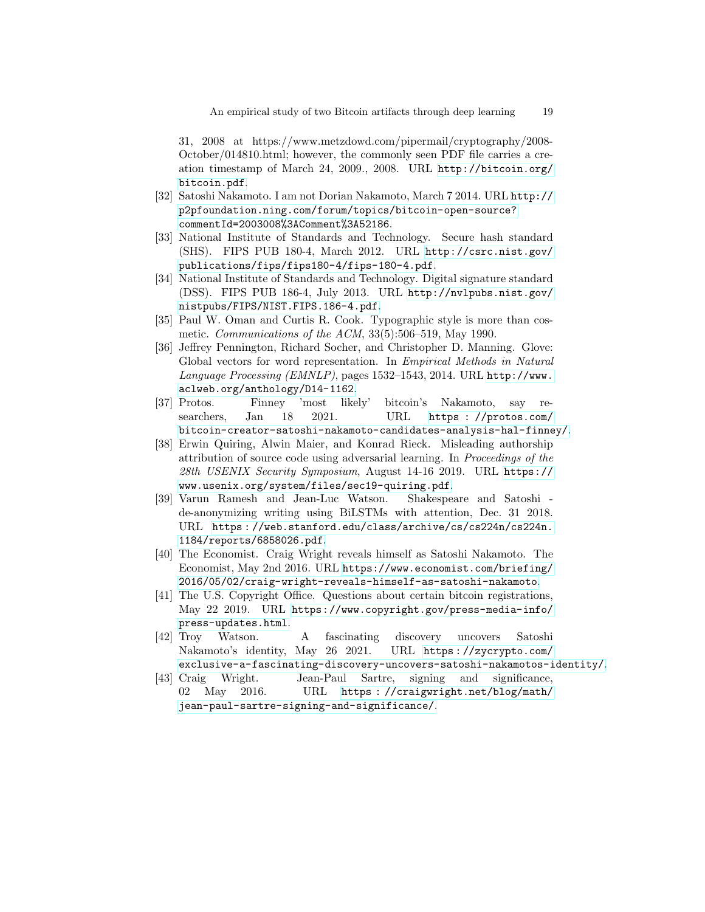31, 2008 at https://www.metzdowd.com/pipermail/cryptography/2008- October/014810.html; however, the commonly seen PDF file carries a creation timestamp of March 24, 2009., 2008. URL [http://bitcoin.org/](http://bitcoin.org/bitcoin.pdf) [bitcoin.pdf](http://bitcoin.org/bitcoin.pdf).

- <span id="page-18-0"></span>[32] Satoshi Nakamoto. I am not Dorian Nakamoto, March 7 2014. URL [http://](http://p2pfoundation.ning.com/forum/topics/bitcoin-open-source?commentId=2003008%3AComment%3A52186) [p2pfoundation.ning.com/forum/topics/bitcoin-open-source?](http://p2pfoundation.ning.com/forum/topics/bitcoin-open-source?commentId=2003008%3AComment%3A52186) [commentId=2003008%3AComment%3A52186](http://p2pfoundation.ning.com/forum/topics/bitcoin-open-source?commentId=2003008%3AComment%3A52186).
- <span id="page-18-10"></span>[33] National Institute of Standards and Technology. Secure hash standard (SHS). FIPS PUB 180-4, March 2012. URL [http://csrc.nist.gov/](http://csrc.nist.gov/publications/fips/fips180-4/fips-180-4.pdf) [publications/fips/fips180-4/fips-180-4.pdf](http://csrc.nist.gov/publications/fips/fips180-4/fips-180-4.pdf).
- <span id="page-18-9"></span>[34] National Institute of Standards and Technology. Digital signature standard (DSS). FIPS PUB 186-4, July 2013. URL [http://nvlpubs.nist.gov/](http://nvlpubs.nist.gov/nistpubs/FIPS/NIST.FIPS.186-4.pdf) [nistpubs/FIPS/NIST.FIPS.186-4.pdf](http://nvlpubs.nist.gov/nistpubs/FIPS/NIST.FIPS.186-4.pdf).
- <span id="page-18-5"></span>[35] Paul W. Oman and Curtis R. Cook. Typographic style is more than cosmetic. Communications of the ACM, 33(5):506–519, May 1990.
- <span id="page-18-11"></span>[36] Jeffrey Pennington, Richard Socher, and Christopher D. Manning. Glove: Global vectors for word representation. In Empirical Methods in Natural Language Processing (EMNLP), pages 1532–1543, 2014. URL [http://www.](http://www.aclweb.org/anthology/D14-1162) [aclweb.org/anthology/D14-1162](http://www.aclweb.org/anthology/D14-1162).
- <span id="page-18-4"></span>[37] Protos. Finney 'most likely' bitcoin's Nakamoto, say researchers, Jan 18 2021. URL https://protos.com/ [bitcoin-creator-satoshi-nakamoto-candidates-analysis-hal-finney/](https://protos.com/bitcoin-creator-satoshi-nakamoto-candidates-analysis-hal-finney/).
- <span id="page-18-6"></span>[38] Erwin Quiring, Alwin Maier, and Konrad Rieck. Misleading authorship attribution of source code using adversarial learning. In Proceedings of the 28th USENIX Security Symposium, August 14-16 2019. URL [https://](https://www.usenix.org/system/files/sec19-quiring.pdf) [www.usenix.org/system/files/sec19-quiring.pdf](https://www.usenix.org/system/files/sec19-quiring.pdf).
- <span id="page-18-7"></span>[39] Varun Ramesh and Jean-Luc Watson. Shakespeare and Satoshi de-anonymizing writing using BiLSTMs with attention, Dec. 31 2018. URL [https : //web.stanford.edu/class/archive/cs/cs224n/cs224n.](https://web.stanford.edu/class/archive/cs/cs224n/cs224n.1184/reports/6858026.pdf) [1184/reports/6858026.pdf](https://web.stanford.edu/class/archive/cs/cs224n/cs224n.1184/reports/6858026.pdf).
- <span id="page-18-1"></span>[40] The Economist. Craig Wright reveals himself as Satoshi Nakamoto. The Economist, May 2nd 2016. URL [https://www.economist.com/briefing/](https://www.economist.com/briefing/2016/05/02/craig-wright-reveals-himself-as-satoshi-nakamoto) [2016/05/02/craig-wright-reveals-himself-as-satoshi-nakamoto](https://www.economist.com/briefing/2016/05/02/craig-wright-reveals-himself-as-satoshi-nakamoto).
- <span id="page-18-3"></span>[41] The U.S. Copyright Office. Questions about certain bitcoin registrations, May 22 2019. URL [https://www.copyright.gov/press-media-info/](https://www.copyright.gov/press-media-info/press-updates.html) [press-updates.html](https://www.copyright.gov/press-media-info/press-updates.html).
- <span id="page-18-8"></span>[42] Troy Watson. A fascinating discovery uncovers Satoshi Nakamoto's identity, May 26 2021. URL [https : //zycrypto.com/](https://zycrypto.com/exclusive-a-fascinating-discovery-uncovers-satoshi-nakamotos-identity/) [exclusive-a-fascinating-discovery-uncovers-satoshi-nakamotos-identity/](https://zycrypto.com/exclusive-a-fascinating-discovery-uncovers-satoshi-nakamotos-identity/).
- <span id="page-18-2"></span>[43] Craig Wright. Jean-Paul Sartre, signing and significance, 02 May 2016. URL https://craigwright.net/blog/math/ [jean-paul-sartre-signing-and-significance/](https://craigwright.net/blog/math/jean-paul-sartre-signing-and-significance/).